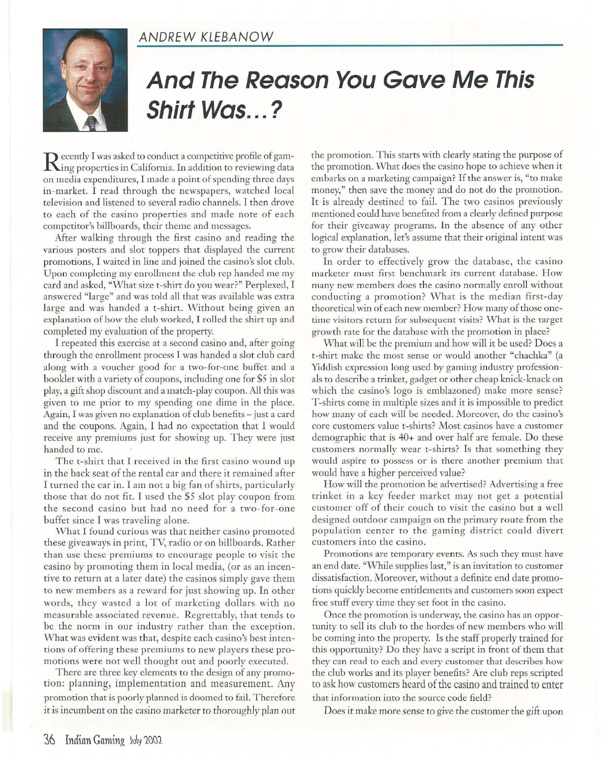## **ANDREW KLEBANOW**



## **And The Reason You Gave Me This Shirt Was ... ?**

**D** ecently I was asked to conduct a competitive profile of gam-**Ning properties in California. In addition to reviewing data** on media expenditures, I made a point of spending three days in-market. I read through the newspapers, watched local television and listened to several radio channels. I then drove to each of the casino properties and made note of each competitor's billboards, their theme and messages.

After walking through the first casino and reading the various posters and slot toppers that displayed the current promotions, I waited in line and joined the casino's slot club. Upon completing my enrollment the club rep handed me my card and asked, "What size t-shirt do you wear?" Perplexed, I answered "large" and was told all that was available was extra large and was handed a t-shirt. Without being given an explanation of how the club worked, I rolled the shirt up and completed my evaluation of the property.

I repeated this exercise at a second casino and, after going through the enrollment process I was handed a slot club card along with a voucher good for a two-for-one buffet and a booklet with a variety of coupons, including one for \$5 in slot play, a gift shop discount and a match-play coupon. All this was given to me prior to my spending one dime in the place. Again, I was given no explanation of club benefits-just a card and the coupons. Again, I had no expectation that I would receive any premiums just for showing up. They were just handed to me.

The t-shirt that I received in the first casino wound up in the back seat of the rental car and there it remained after I turned the car in. I am not a big fan of shirts, particularly those that do not fit. I used the \$5 slot play coupon from the second casino but had no need for a two-for-one buffet since I was traveling alone.

What I found curious was that neither casino promoted these giveaways in print, TV, radio or on billboards. Rather than use these premiums to encourage people to visit the casino by promoting them in local media, (or as an incen tive to return at a later date) the casinos simply gave them to new members as a reward for just showing up. In other words, they wasted a lot of marketing dollars with no measurable associated revenue. Regrettably, that tends to be the norm in our industry rather than the exception. What was evident was that, despite each casino's best intentions of offering these premiums to new players these promotions were not well thought out and poorly executed.

There are three key elements to the design of any promotion: planning, implementation and measurement. Any promotion that is poorly planned is doomed to fail. Therefore it *is* incumbent on the casino marketer to thoroughly plan out the promotion. This starts with clearly stating the purpose of the promotion. What does the casino hope to achieve when it embarks on a marketing campaign? If the answer is, "to make money," then save the money and do not do the promotion. It is already destined to fail. The two casinos previously mentioned could have benefited from a clearly defined purpose for their giveaway programs. In the absence of any other logical explanation, let's assume that their original intent was to grow their databases.

In order to effectively grow the database, the casino marketer must first benchmark its current database. How many new members does the casino normally enroll without conducting a promotion? What is the median first-day theoretical win of each new member? How many of those onetime visitors return for subsequent visits? What is the target growth rate for the database with the promotion in place?

What will be the premium and how will it be used? Does a t-shirt make the most sense or would another "chachka" (a Yiddish expression long used by gaming industry professionals to describe a trinket, gadget or other cheap knick-knack on which the casino's logo is emblazoned) make more sense? T-shirts come in multiple sizes and it is impossible to predict how many of each will be needed. Moreover, do the casino's core customers value t-shirts? Most casinos have a customer demographic that is 40+ and over half are female. Do these customers normally wear t-shirts? Is that something they would aspire to possess or is there another premium that would have a higher perceived value?

How will the promotion be advertised? Advertising a free trinket in a key feeder market may not get a potential customer off of their couch to visit the casino but a well designed outdoor campaign on the primary route from the population center to the gaming district could divert customers into the casino.

Promotions are temporary events. As such they must have an end date. "While supplies last," is an invitation to customer dissatisfaction. Moreover, without a definite end date promotions quickly become entitlements and customers soon expect free stuff every time they set foot in the casino.

Once the promotion is underway, the casino has an opportunity to sell its club to the hordes of new members who will be coming into the property. Is the staff properly trained for this opportunity? Do they have a script in front of them that they can read to each and every customer that describes how the club works and its player benefits? Are dub reps scripted to ask how customers heard of the casino and trained to enter that information into the source code field?

Does it make more sense to give the customer the gift upon